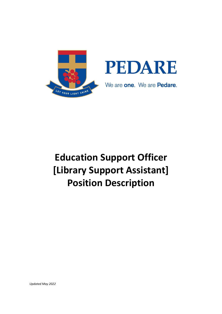

# **Education Support Officer [Library Support Assistant] Position Description**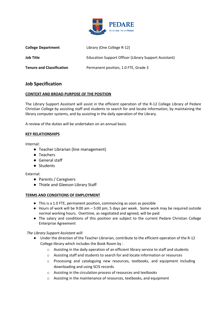

| <b>College Department</b>        | Library (One College R-12)                            |
|----------------------------------|-------------------------------------------------------|
| Job Title                        | Education Support Officer (Library Support Assistant) |
| <b>Tenure and Classification</b> | Permanent position, 1.0 FTE, Grade 3                  |

## **Job Specification**

## **CONTEXT AND BROAD PURPOSE OF THE POSITION**

The Library Support Assistant will assist in the efficient operation of the R-12 College Library of Pedare Christian College by assisting staff and students to search for and locate information, by maintaining the library computer systems, and by assisting in the daily operation of the Library.

A review of the duties will be undertaken on an annual basis.

## **KEY RELATIONSHIPS**

Internal:

- Teacher Librarian (line management)
- Teachers
- General staff
- Students

External:

- Parents / Caregivers
- Thiele and Gleeson Library Staff

#### **TERMS AND CONDITIONS OF EMPLOYMENT**

- This is a 1.0 FTE, permanent position, commencing as soon as possible
- Hours of work will be 9:00 am 5:00 pm, 5 days per week. Some work may be required outside normal working hours. Overtime, as negotiated and agreed, will be paid
- The salary and conditions of this position are subject to the current Pedare Christian College Enterprise Agreement

## *The Library Support Assistant will:*

- Under the direction of the Teacher Librarian, contribute to the efficient operation of the R-12 College library which includes the Book Room by :
	- $\circ$  Assisting in the daily operation of an efficient library service to staff and students
	- o Assisting staff and students to search for and locate information or resources
	- o Processing and cataloguing new resources, textbooks, and equipment including downloading and using SCIS records.
	- o Assisting in the circulation process of resources and textbooks
	- o Assisting in the maintenance of resources, textbooks, and equipment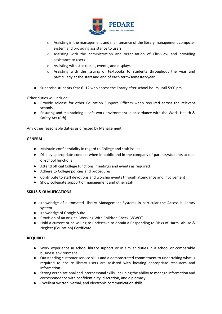

- $\circ$  Assisting in the management and maintenance of the library management computer system and providing assistance to users
- o Assisting with the administration and organisation of Clickview and providing assistance to users
- o Assisting with stocktakes, events, and displays
- o Assisting with the issuing of textbooks to students throughout the year and particularly at the start and end of each term/semester/year
- Supervise students Year 6 -12 who access the library after school hours until 5:00 pm.

Other duties will include:

- Provide release for other Education Support Officers when required across the relevant schools
- Ensuring and maintaining a safe work environment in accordance with the Work, Health & Safety Act (*Cth*)

Any other reasonable duties as directed by Management.

#### **GENERAL**

- Maintain confidentiality in regard to College and staff issues
- Display appropriate conduct when in public and in the company of parents/students at outof-school functions
- Attend official College functions, meetings and events as required
- Adhere to College policies and procedures
- Contribute to staff devotions and worship events through attendance and involvement
- Show collegiate support of management and other staff

#### **SKILLS & QUALIFICATIONS**

- Knowledge of automated Library Management Systems in particular the Access-it Library system
- Knowledge of Google Suite
- Provision of an original Working With Children Check [WWCC]
- Hold a current or be willing to undertake to obtain a Responding to Risks of Harm, Abuse & Neglect (Education) Certificate

#### **REQUIRED**

- Work experience in school library support or in similar duties in a school or comparable business environment
- Outstanding customer service skills and a demonstrated commitment to undertaking what is required to ensure library users are assisted with locating appropriate resources and information
- Strong organisational and interpersonal skills, including the ability to manage information and correspondence with confidentiality, discretion, and diplomacy
- Excellent written, verbal, and electronic communication skills